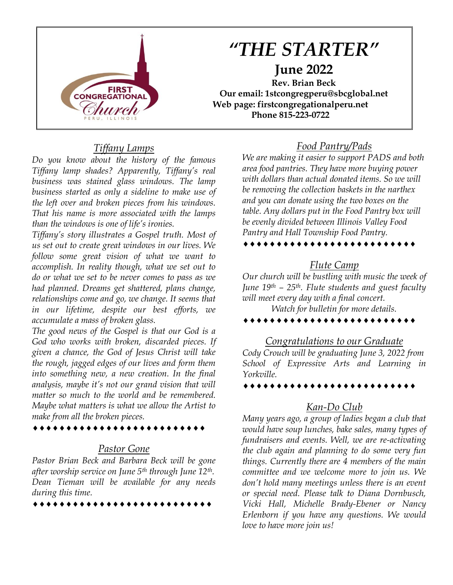

# *"THE STARTER"* **June 2022 Rev. Brian Beck**

**Our email: 1stcongregperu@sbcglobal.net Web page: firstcongregationalperu.net Phone 815-223-0722**

## *Tiffany Lamps*

*Do you know about the history of the famous Tiffany lamp shades? Apparently, Tiffany's real business was stained glass windows. The lamp business started as only a sideline to make use of the left over and broken pieces from his windows. That his name is more associated with the lamps than the windows is one of life's ironies.*

*Tiffany's story illustrates a Gospel truth. Most of us set out to create great windows in our lives. We follow some great vision of what we want to accomplish. In reality though, what we set out to do or what we set to be never comes to pass as we had planned. Dreams get shattered, plans change, relationships come and go, we change. It seems that in our lifetime, despite our best efforts, we accumulate a mass of broken glass.*

*The good news of the Gospel is that our God is a God who works with broken, discarded pieces. If given a chance, the God of Jesus Christ will take the rough, jagged edges of our lives and form them into something new, a new creation. In the final analysis, maybe it's not our grand vision that will matter so much to the world and be remembered. Maybe what matters is what we allow the Artist to make from all the broken pieces.* 

## *Pastor Gone*

\*\*\*\*\*\*\*\*\*\*\*\*\*\*\*\*\*\*\*\*\*\*\*\*\*\*

*Pastor Brian Beck and Barbara Beck will be gone after worship service on June 5th through June 12th. Dean Tieman will be available for any needs during this time.*

\*\*\*\*\*\*\*\*\*\*\*\*\*\*\*\*\*\*\*\*\*\*\*\*\*\*\*

#### *Food Pantry/Pads*

*We are making it easier to support PADS and both area food pantries. They have more buying power with dollars than actual donated items. So we will be removing the collection baskets in the narthex and you can donate using the two boxes on the table. Any dollars put in the Food Pantry box will be evenly divided between Illinois Valley Food Pantry and Hall Township Food Pantry.* 

#### \*\*\*\*\*\*\*\*\*\*\*\*\*\*\*\*\*\*\*\*\*\*\*\*\*\*

#### *Flute Camp*

*Our church will be bustling with music the week of June 19th – 25th. Flute students and guest faculty will meet every day with a final concert.*

*Watch for bulletin for more details.*

#### ...........................

#### *Congratulations to our Graduate*

*Cody Crouch will be graduating June 3, 2022 from School of Expressive Arts and Learning in Yorkville.*

\*\*\*\*\*\*\*\*\*\*\*\*\*\*\*\*\*\*\*\*\*\*\*\*\*\*

#### *Kan-Do Club*

*Many years ago, a group of ladies began a club that would have soup lunches, bake sales, many types of fundraisers and events. Well, we are re-activating the club again and planning to do some very fun things. Currently there are 4 members of the main committee and we welcome more to join us. We don't hold many meetings unless there is an event or special need. Please talk to Diana Dornbusch, Vicki Hall, Michelle Brady-Ebener or Nancy Erlenborn if you have any questions. We would love to have more join us!*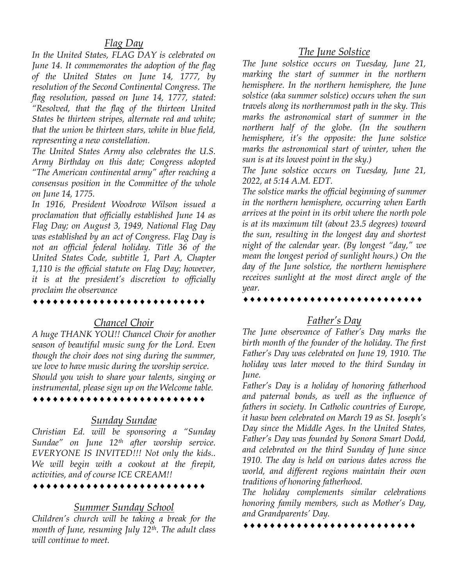#### *Flag Day*

*In the United States, FLAG DAY is celebrated on June 14. It commemorates the adoption of the flag of the United States on June 14, 1777, by resolution of the Second Continental Congress. The flag resolution, passed on June 14, 1777, stated: "Resolved, that the flag of the thirteen United States be thirteen stripes, alternate red and white; that the union be thirteen stars, white in blue field, representing a new constellation.*

*The United States Army also celebrates the U.S. Army Birthday on this date; Congress adopted "The American continental army" after reaching a consensus position in the Committee of the whole on June 14, 1775.*

*In 1916, President Woodrow Wilson issued a proclamation that officially established June 14 as Flag Day; on August 3, 1949, National Flag Day was established by an act of Congress. Flag Day is not an official federal holiday. Title 36 of the United States Code, subtitle 1, Part A, Chapter 1,110 is the official statute on Flag Day; however, it is at the president's discretion to officially proclaim the observance*

#### *Chancel Choir*

*A huge THANK YOU!! Chancel Choir for another season of beautiful music sung for the Lord. Even though the choir does not sing during the summer, we love to have music during the worship service. Should you wish to share your talents, singing or instrumental, please sign up on the Welcome table.*

#### *Sunday Sundae*

*Christian Ed. will be sponsoring a "Sunday Sundae" on June 12th after worship service. EVERYONE IS INVITED!!! Not only the kids.. We will begin with a cookout at the firepit, activities, and of course ICE CREAM!!* 

\*\*\*\*\*\*\*\*\*\*\*\*\*\*\*\*\*\*\*\*\*\*\*\*\*

#### *Summer Sunday School*

*Children's church will be taking a break for the month of June, resuming July 12th. The adult class will continue to meet.*

### *The June Solstice*

*The June solstice occurs on Tuesday, June 21, marking the start of summer in the northern hemisphere. In the northern hemisphere, the June solstice (aka summer solstice) occurs when the sun travels along its northernmost path in the sky. This marks the astronomical start of summer in the northern half of the globe. (In the southern hemisphere, it's the opposite: the June solstice marks the astronomical start of winter, when the sun is at its lowest point in the sky.)*

*The June solstice occurs on Tuesday, June 21, 2022, at 5:14 A.M. EDT.*

*The solstice marks the official beginning of summer in the northern hemisphere, occurring when Earth arrives at the point in its orbit where the north pole is at its maximum tilt (about 23.5 degrees) toward the sun, resulting in the longest day and shortest night of the calendar year. (By longest "day," we mean the longest period of sunlight hours.) On the day of the June solstice, the northern hemisphere receives sunlight at the most direct angle of the year.*

#### *Father's Day*

*The June observance of Father's Day marks the birth month of the founder of the holiday. The first Father's Day was celebrated on June 19, 1910. The holiday was later moved to the third Sunday in June.*

*Father's Day is a holiday of honoring fatherhood and paternal bonds, as well as the influence of fathers in society. In Catholic countries of Europe, it hasw been celebrated on March 19 as St. Joseph's Day since the Middle Ages. In the United States, Father's Day was founded by Sonora Smart Dodd, and celebrated on the third Sunday of June since 1910. The day is held on various dates across the world, and different regions maintain their own traditions of honoring fatherhood.*

*The holiday complements similar celebrations honoring family members, such as Mother's Day, and Grandparents' Day.*

\*\*\*\*\*\*\*\*\*\*\*\*\*\*\*\*\*\*\*\*\*\*\*\*\*\*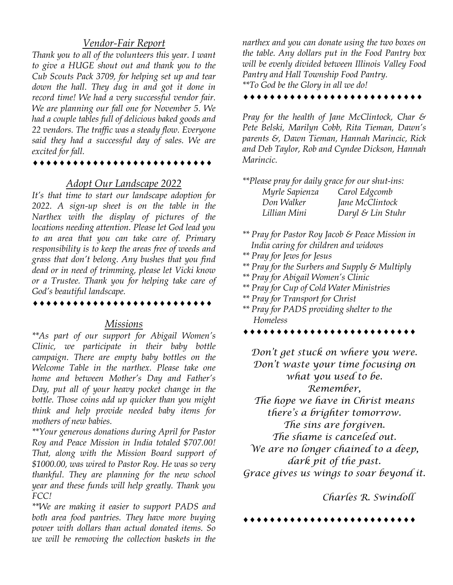#### *Vendor-Fair Report*

*Thank you to all of the volunteers this year. I want to give a HUGE shout out and thank you to the Cub Scouts Pack 3709, for helping set up and tear down the hall. They dug in and got it done in record time! We had a very successful vendor fair. We are planning our fall one for November 5. We had a couple tables full of delicious baked goods and 22 vendors. The traffic was a steady flow. Everyone said they had a successful day of sales. We are excited for fall.*

#### *Adopt Our Landscape 2022*

*It's that time to start our landscape adoption for 2022. A sign-up sheet is on the table in the Narthex with the display of pictures of the locations needing attention. Please let God lead you to an area that you can take care of. Primary responsibility is to keep the areas free of weeds and grass that don't belong. Any bushes that you find dead or in need of trimming, please let Vicki know or a Trustee. Thank you for helping take care of God's beautiful landscape.*

#### *Missions*

*\*\*As part of our support for Abigail Women's Clinic, we participate in their baby bottle campaign. There are empty baby bottles on the Welcome Table in the narthex. Please take one home and between Mother's Day and Father's Day, put all of your heavy pocket change in the bottle. Those coins add up quicker than you might think and help provide needed baby items for mothers of new babies.*

*\*\*Your generous donations during April for Pastor Roy and Peace Mission in India totaled \$707.00! That, along with the Mission Board support of \$1000.00, was wired to Pastor Roy. He was so very thankful. They are planning for the new school year and these funds will help greatly. Thank you FCC!*

*\*\*We are making it easier to support PADS and both area food pantries. They have more buying power with dollars than actual donated items. So we will be removing the collection baskets in the*  *narthex and you can donate using the two boxes on the table. Any dollars put in the Food Pantry box will be evenly divided between Illinois Valley Food Pantry and Hall Township Food Pantry. \*\*To God be the Glory in all we do!* 

\*\*\*\*\*\*\*\*\*\*\*\*\*\*\*\*\*\*\*\*\*\*\*\*\*\*

*Pray for the health of Jane McClintock, Char & Pete Belski, Marilyn Cobb, Rita Tieman, Dawn's parents &, Dawn Tieman, Hannah Marincic, Rick and Deb Taylor, Rob and Cyndee Dickson, Hannah Marincic.*

| **Please pray for daily grace for our shut-ins: |                   |
|-------------------------------------------------|-------------------|
| Myrle Sapienza                                  | Carol Edgcomb     |
| Don Walker                                      | Jane McClintock   |
| Lillian Mini                                    | Daryl & Lin Stuhr |

- *\*\* Pray for Pastor Roy Jacob & Peace Mission in India caring for children and widows*
- *\*\* Pray for Jews for Jesus*
- *\*\* Pray for the Surbers and Supply & Multiply*
- *\*\* Pray for Abigail Women's Clinic*
- *\*\* Pray for Cup of Cold Water Ministries*
- *\*\* Pray for Transport for Christ*
- *\*\* Pray for PADS providing shelter to the Homeless*

*Don't get stuck on where you were. Don't waste your time focusing on what you used to be. Remember, The hope we have in Christ means there's a brighter tomorrow. The sins are forgiven. The shame is canceled out. We are no longer chained to a deep, dark pit of the past. Grace gives us wings to soar beyond it.*

*Charles R. Swindoll*

**......**